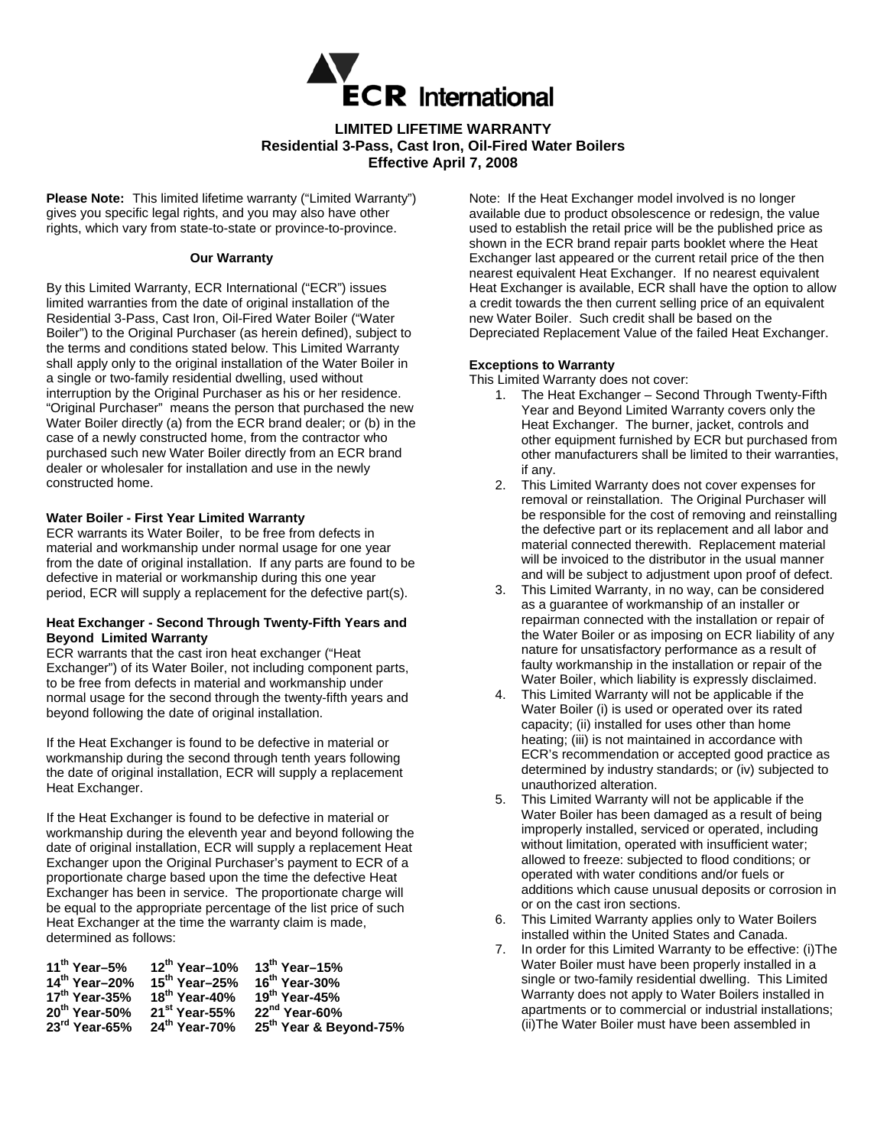

# **LIMITED LIFETIME WARRANTY Residential 3-Pass, Cast Iron, Oil-Fired Water Boilers Effective April 7, 2008**

**Please Note:** This limited lifetime warranty ("Limited Warranty") gives you specific legal rights, and you may also have other rights, which vary from state-to-state or province-to-province.

#### **Our Warranty**

By this Limited Warranty, ECR International ("ECR") issues limited warranties from the date of original installation of the Residential 3-Pass, Cast Iron, Oil-Fired Water Boiler ("Water Boiler") to the Original Purchaser (as herein defined), subject to the terms and conditions stated below. This Limited Warranty shall apply only to the original installation of the Water Boiler in a single or two-family residential dwelling, used without interruption by the Original Purchaser as his or her residence. "Original Purchaser" means the person that purchased the new Water Boiler directly (a) from the ECR brand dealer; or (b) in the case of a newly constructed home, from the contractor who purchased such new Water Boiler directly from an ECR brand dealer or wholesaler for installation and use in the newly constructed home.

## **Water Boiler - First Year Limited Warranty**

ECR warrants its Water Boiler, to be free from defects in material and workmanship under normal usage for one year from the date of original installation. If any parts are found to be defective in material or workmanship during this one year period, ECR will supply a replacement for the defective part(s).

## **Heat Exchanger - Second Through Twenty-Fifth Years and Beyond Limited Warranty**

ECR warrants that the cast iron heat exchanger ("Heat Exchanger") of its Water Boiler, not including component parts, to be free from defects in material and workmanship under normal usage for the second through the twenty-fifth years and beyond following the date of original installation.

If the Heat Exchanger is found to be defective in material or workmanship during the second through tenth years following the date of original installation, ECR will supply a replacement Heat Exchanger.

If the Heat Exchanger is found to be defective in material or workmanship during the eleventh year and beyond following the date of original installation, ECR will supply a replacement Heat Exchanger upon the Original Purchaser's payment to ECR of a proportionate charge based upon the time the defective Heat Exchanger has been in service. The proportionate charge will be equal to the appropriate percentage of the list price of such Heat Exchanger at the time the warranty claim is made, determined as follows:

| 11 <sup>th</sup> Year-5%  | 12 <sup>th</sup> Year-10% 13 <sup>th</sup> Year-15% |                                    |
|---------------------------|-----------------------------------------------------|------------------------------------|
| 14th Year-20%             | $15^{th}$ Year-25% $16^{th}$ Year-30%               |                                    |
| $17th$ Year-35%           | 18 <sup>th</sup> Year-40%                           | 19 <sup>th</sup> Year-45%          |
| $20^{th}$ Year-50%        | 21 <sup>st</sup> Year-55%                           | 22 <sup>nd</sup> Year-60%          |
| $23^{\text{rd}}$ Year-65% | 24 <sup>th</sup> Year-70%                           | 25 <sup>th</sup> Year & Beyond-75% |

Note: If the Heat Exchanger model involved is no longer available due to product obsolescence or redesign, the value used to establish the retail price will be the published price as shown in the ECR brand repair parts booklet where the Heat Exchanger last appeared or the current retail price of the then nearest equivalent Heat Exchanger. If no nearest equivalent Heat Exchanger is available, ECR shall have the option to allow a credit towards the then current selling price of an equivalent new Water Boiler. Such credit shall be based on the Depreciated Replacement Value of the failed Heat Exchanger.

## **Exceptions to Warranty**

This Limited Warranty does not cover:

- 1. The Heat Exchanger Second Through Twenty-Fifth Year and Beyond Limited Warranty covers only the Heat Exchanger. The burner, jacket, controls and other equipment furnished by ECR but purchased from other manufacturers shall be limited to their warranties, if any.
- 2. This Limited Warranty does not cover expenses for removal or reinstallation. The Original Purchaser will be responsible for the cost of removing and reinstalling the defective part or its replacement and all labor and material connected therewith. Replacement material will be invoiced to the distributor in the usual manner and will be subject to adjustment upon proof of defect.
- 3. This Limited Warranty, in no way, can be considered as a guarantee of workmanship of an installer or repairman connected with the installation or repair of the Water Boiler or as imposing on ECR liability of any nature for unsatisfactory performance as a result of faulty workmanship in the installation or repair of the Water Boiler, which liability is expressly disclaimed.
- 4. This Limited Warranty will not be applicable if the Water Boiler (i) is used or operated over its rated capacity; (ii) installed for uses other than home heating; (iii) is not maintained in accordance with ECR's recommendation or accepted good practice as determined by industry standards; or (iv) subjected to unauthorized alteration.
- 5. This Limited Warranty will not be applicable if the Water Boiler has been damaged as a result of being improperly installed, serviced or operated, including without limitation, operated with insufficient water; allowed to freeze: subjected to flood conditions; or operated with water conditions and/or fuels or additions which cause unusual deposits or corrosion in or on the cast iron sections.
- 6. This Limited Warranty applies only to Water Boilers installed within the United States and Canada.
- 7. In order for this Limited Warranty to be effective: (i)The Water Boiler must have been properly installed in a single or two-family residential dwelling. This Limited Warranty does not apply to Water Boilers installed in apartments or to commercial or industrial installations; (ii)The Water Boiler must have been assembled in